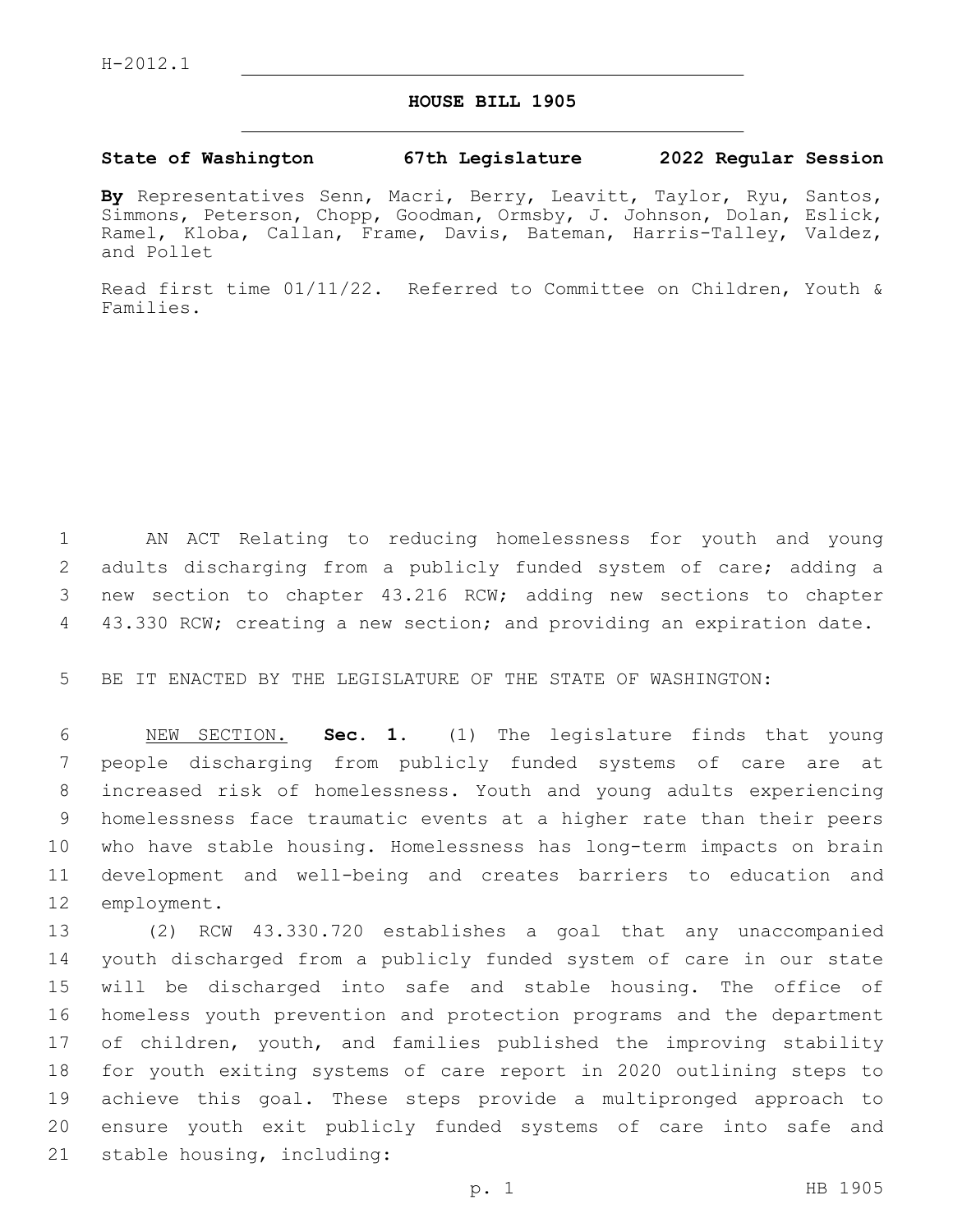## **HOUSE BILL 1905**

## **State of Washington 67th Legislature 2022 Regular Session**

**By** Representatives Senn, Macri, Berry, Leavitt, Taylor, Ryu, Santos, Simmons, Peterson, Chopp, Goodman, Ormsby, J. Johnson, Dolan, Eslick, Ramel, Kloba, Callan, Frame, Davis, Bateman, Harris-Talley, Valdez, and Pollet

Read first time 01/11/22. Referred to Committee on Children, Youth & Families.

 AN ACT Relating to reducing homelessness for youth and young adults discharging from a publicly funded system of care; adding a new section to chapter 43.216 RCW; adding new sections to chapter 4 43.330 RCW; creating a new section; and providing an expiration date.

BE IT ENACTED BY THE LEGISLATURE OF THE STATE OF WASHINGTON:

 NEW SECTION. **Sec. 1.** (1) The legislature finds that young people discharging from publicly funded systems of care are at increased risk of homelessness. Youth and young adults experiencing homelessness face traumatic events at a higher rate than their peers who have stable housing. Homelessness has long-term impacts on brain development and well-being and creates barriers to education and employment.

 (2) RCW 43.330.720 establishes a goal that any unaccompanied youth discharged from a publicly funded system of care in our state will be discharged into safe and stable housing. The office of homeless youth prevention and protection programs and the department of children, youth, and families published the improving stability for youth exiting systems of care report in 2020 outlining steps to achieve this goal. These steps provide a multipronged approach to ensure youth exit publicly funded systems of care into safe and 21 stable housing, including: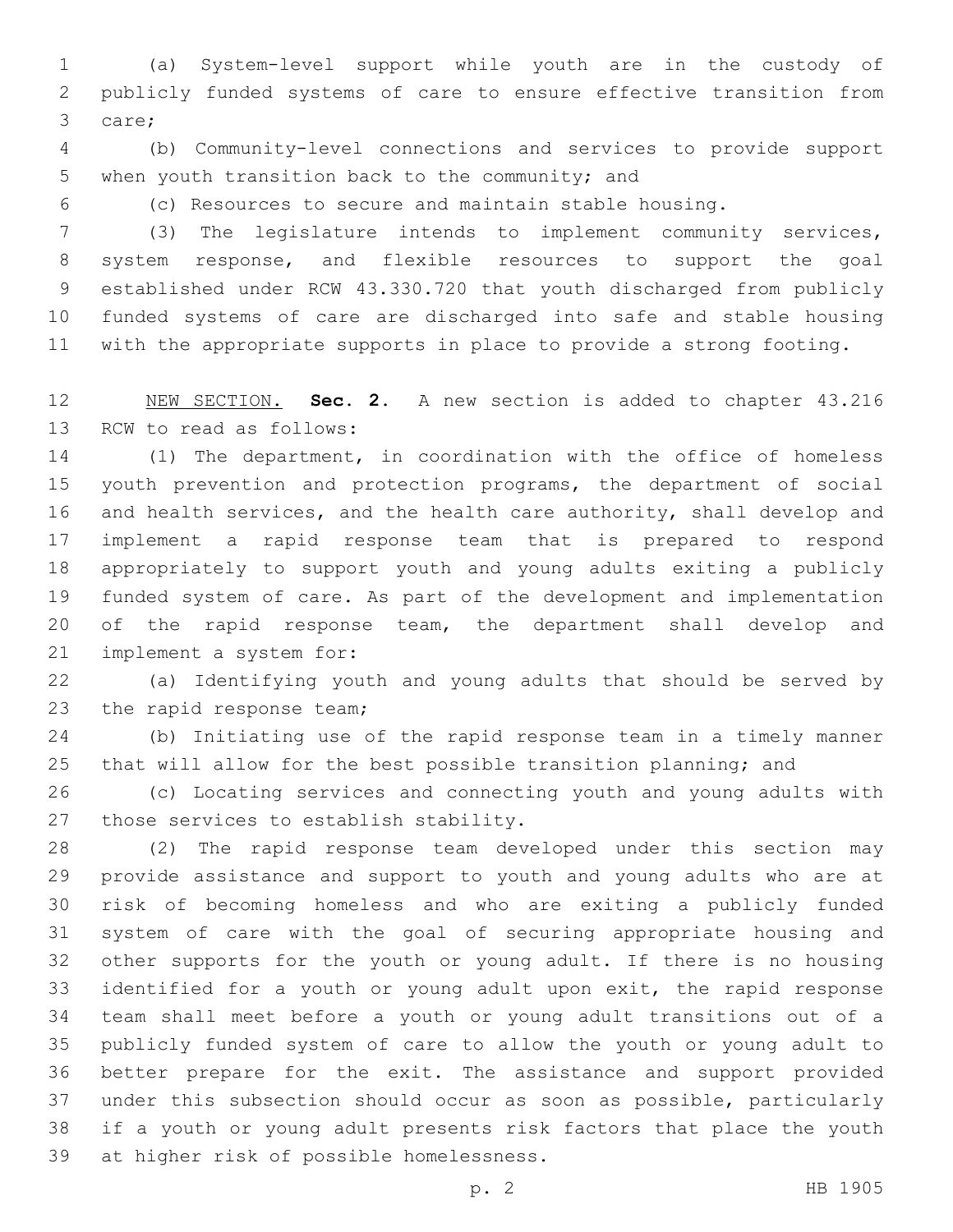(a) System-level support while youth are in the custody of publicly funded systems of care to ensure effective transition from 3 care;

 (b) Community-level connections and services to provide support 5 when youth transition back to the community; and

(c) Resources to secure and maintain stable housing.

 (3) The legislature intends to implement community services, system response, and flexible resources to support the goal established under RCW 43.330.720 that youth discharged from publicly funded systems of care are discharged into safe and stable housing with the appropriate supports in place to provide a strong footing.

 NEW SECTION. **Sec. 2.** A new section is added to chapter 43.216 13 RCW to read as follows:

 (1) The department, in coordination with the office of homeless youth prevention and protection programs, the department of social and health services, and the health care authority, shall develop and implement a rapid response team that is prepared to respond appropriately to support youth and young adults exiting a publicly funded system of care. As part of the development and implementation 20 of the rapid response team, the department shall develop and 21 implement a system for:

 (a) Identifying youth and young adults that should be served by 23 the rapid response team;

 (b) Initiating use of the rapid response team in a timely manner that will allow for the best possible transition planning; and

 (c) Locating services and connecting youth and young adults with 27 those services to establish stability.

 (2) The rapid response team developed under this section may provide assistance and support to youth and young adults who are at risk of becoming homeless and who are exiting a publicly funded system of care with the goal of securing appropriate housing and other supports for the youth or young adult. If there is no housing identified for a youth or young adult upon exit, the rapid response team shall meet before a youth or young adult transitions out of a publicly funded system of care to allow the youth or young adult to better prepare for the exit. The assistance and support provided under this subsection should occur as soon as possible, particularly if a youth or young adult presents risk factors that place the youth 39 at higher risk of possible homelessness.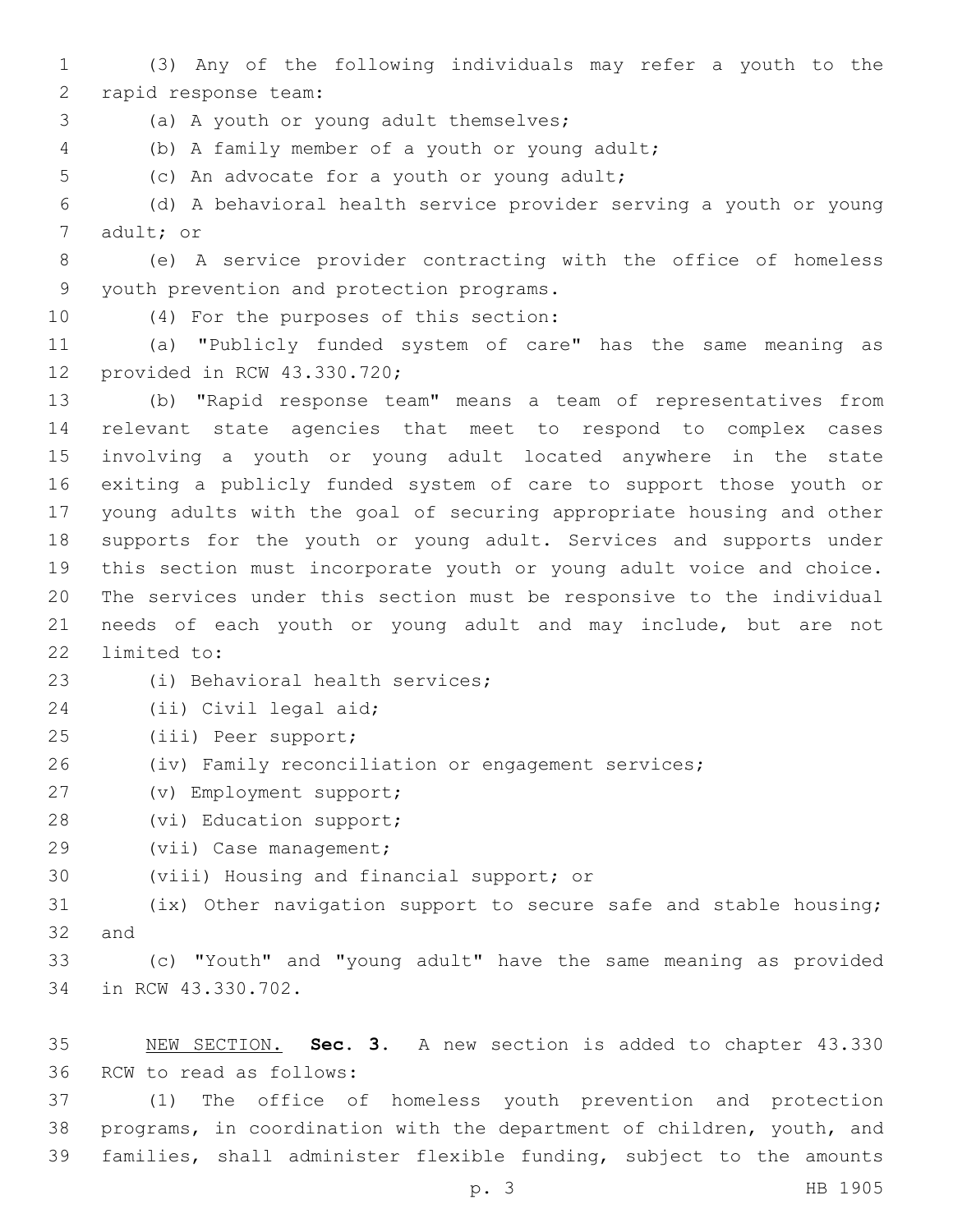1 (3) Any of the following individuals may refer a youth to the 2 rapid response team:

3 (a) A youth or young adult themselves;

(b) A family member of a youth or young adult;4

5 (c) An advocate for a youth or young adult;

6 (d) A behavioral health service provider serving a youth or young 7 adult; or

8 (e) A service provider contracting with the office of homeless 9 youth prevention and protection programs.

10 (4) For the purposes of this section:

11 (a) "Publicly funded system of care" has the same meaning as 12 provided in RCW 43.330.720;

 (b) "Rapid response team" means a team of representatives from relevant state agencies that meet to respond to complex cases involving a youth or young adult located anywhere in the state exiting a publicly funded system of care to support those youth or young adults with the goal of securing appropriate housing and other supports for the youth or young adult. Services and supports under this section must incorporate youth or young adult voice and choice. The services under this section must be responsive to the individual needs of each youth or young adult and may include, but are not 22 limited to:

23 (i) Behavioral health services;

24 (ii) Civil legal aid;

(iii) Peer support;25

26 (iv) Family reconciliation or engagement services;

(v) Employment support;27

28 (vi) Education support;

29 (vii) Case management;

30 (viii) Housing and financial support; or

31 (ix) Other navigation support to secure safe and stable housing;  $32$  and

33 (c) "Youth" and "young adult" have the same meaning as provided 34 in RCW 43.330.702.

35 NEW SECTION. **Sec. 3.** A new section is added to chapter 43.330 36 RCW to read as follows:

37 (1) The office of homeless youth prevention and protection 38 programs, in coordination with the department of children, youth, and 39 families, shall administer flexible funding, subject to the amounts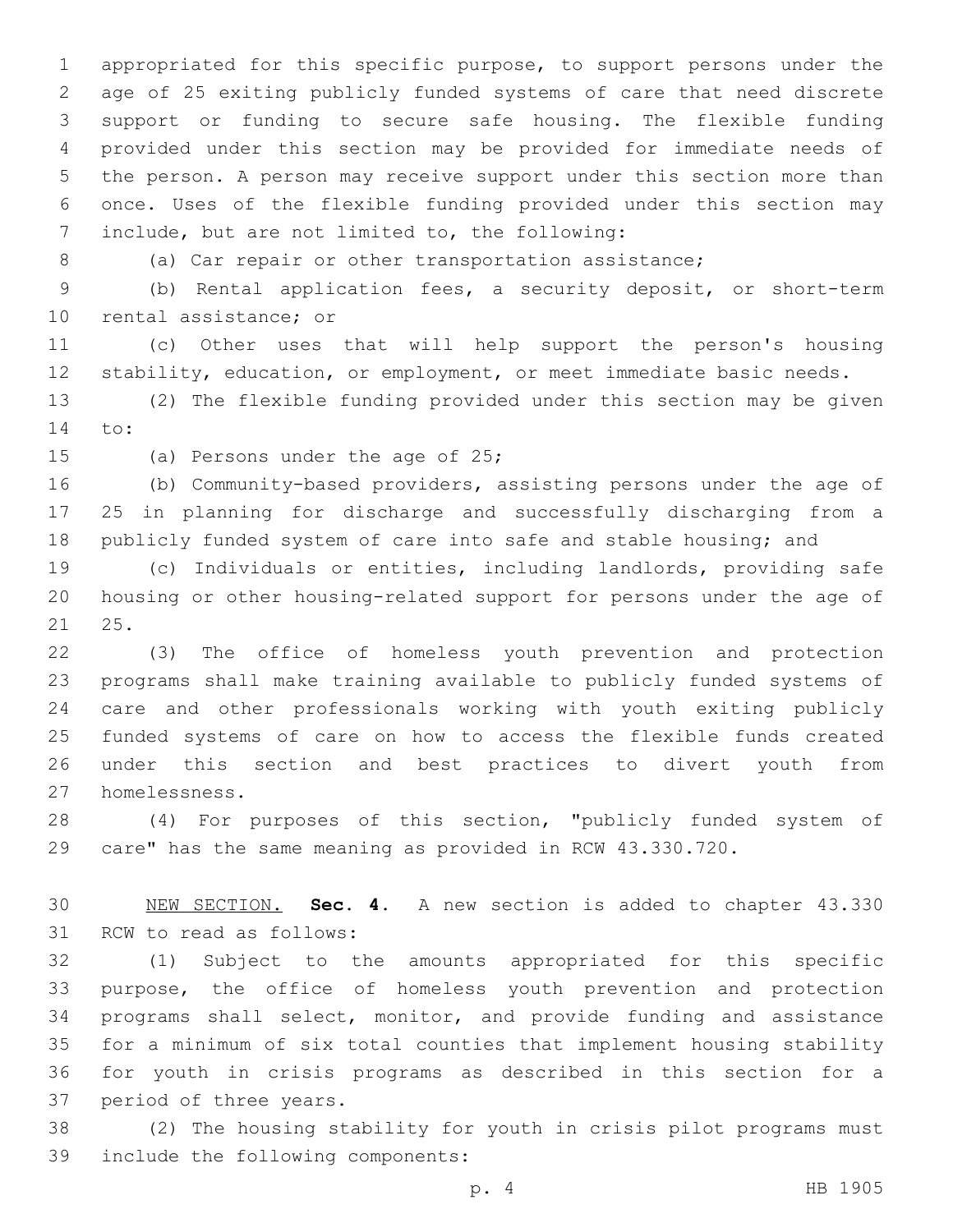appropriated for this specific purpose, to support persons under the age of 25 exiting publicly funded systems of care that need discrete support or funding to secure safe housing. The flexible funding provided under this section may be provided for immediate needs of the person. A person may receive support under this section more than once. Uses of the flexible funding provided under this section may 7 include, but are not limited to, the following:

8 (a) Car repair or other transportation assistance;

 (b) Rental application fees, a security deposit, or short-term 10 rental assistance; or

 (c) Other uses that will help support the person's housing stability, education, or employment, or meet immediate basic needs.

 (2) The flexible funding provided under this section may be given 14 to:

15 (a) Persons under the age of 25;

 (b) Community-based providers, assisting persons under the age of 25 in planning for discharge and successfully discharging from a publicly funded system of care into safe and stable housing; and

 (c) Individuals or entities, including landlords, providing safe housing or other housing-related support for persons under the age of 21 25.

 (3) The office of homeless youth prevention and protection programs shall make training available to publicly funded systems of care and other professionals working with youth exiting publicly funded systems of care on how to access the flexible funds created under this section and best practices to divert youth from homelessness.27

 (4) For purposes of this section, "publicly funded system of care" has the same meaning as provided in RCW 43.330.720.

 NEW SECTION. **Sec. 4.** A new section is added to chapter 43.330 31 RCW to read as follows:

 (1) Subject to the amounts appropriated for this specific purpose, the office of homeless youth prevention and protection programs shall select, monitor, and provide funding and assistance for a minimum of six total counties that implement housing stability for youth in crisis programs as described in this section for a 37 period of three years.

 (2) The housing stability for youth in crisis pilot programs must 39 include the following components: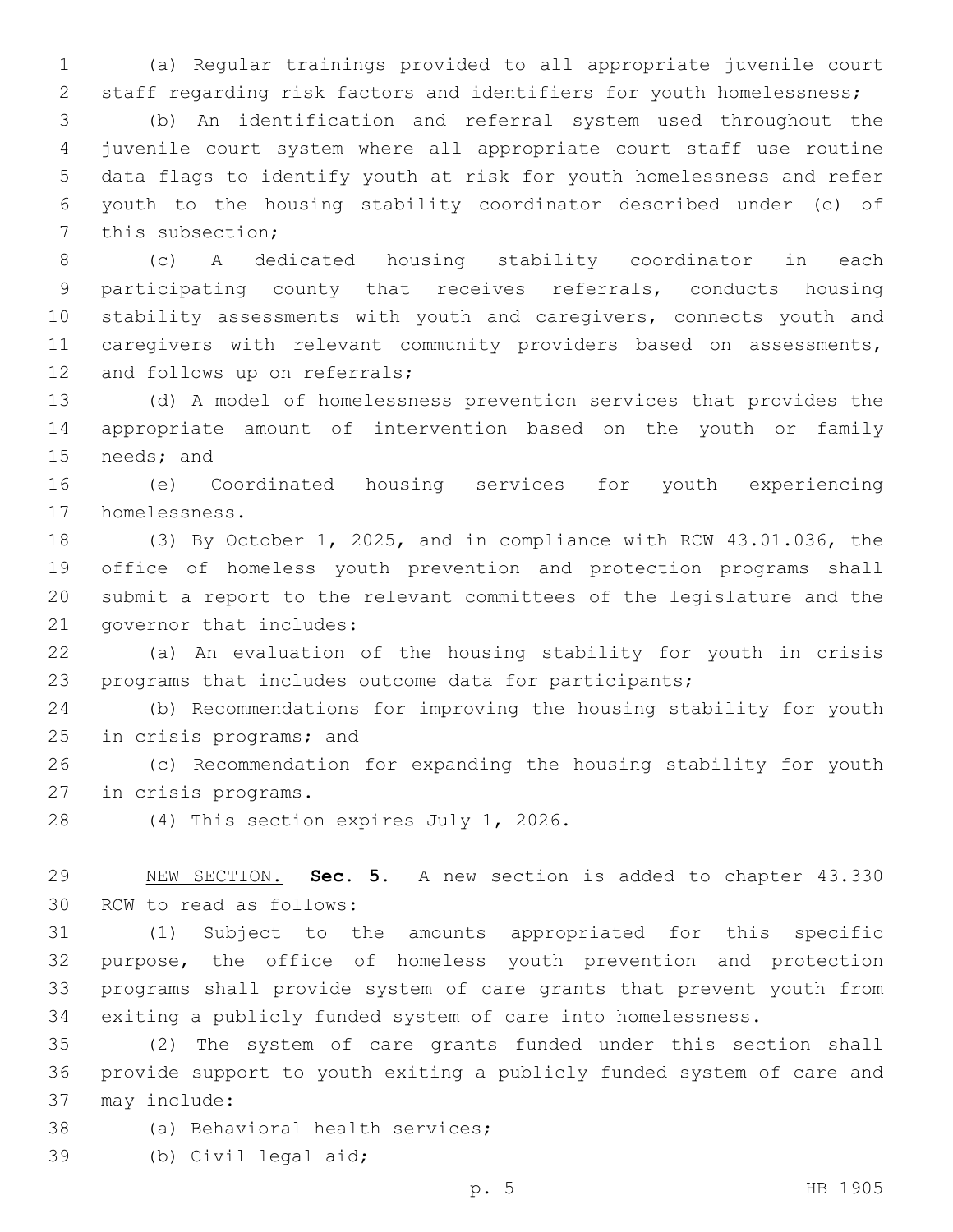(a) Regular trainings provided to all appropriate juvenile court staff regarding risk factors and identifiers for youth homelessness;

 (b) An identification and referral system used throughout the juvenile court system where all appropriate court staff use routine data flags to identify youth at risk for youth homelessness and refer youth to the housing stability coordinator described under (c) of 7 this subsection;

 (c) A dedicated housing stability coordinator in each participating county that receives referrals, conducts housing stability assessments with youth and caregivers, connects youth and 11 caregivers with relevant community providers based on assessments, 12 and follows up on referrals;

 (d) A model of homelessness prevention services that provides the appropriate amount of intervention based on the youth or family 15 needs; and

 (e) Coordinated housing services for youth experiencing 17 homelessness.

 (3) By October 1, 2025, and in compliance with RCW 43.01.036, the office of homeless youth prevention and protection programs shall submit a report to the relevant committees of the legislature and the 21 governor that includes:

 (a) An evaluation of the housing stability for youth in crisis programs that includes outcome data for participants;

 (b) Recommendations for improving the housing stability for youth 25 in crisis programs; and

 (c) Recommendation for expanding the housing stability for youth 27 in crisis programs.

28 (4) This section expires July 1, 2026.

 NEW SECTION. **Sec. 5.** A new section is added to chapter 43.330 30 RCW to read as follows:

 (1) Subject to the amounts appropriated for this specific purpose, the office of homeless youth prevention and protection programs shall provide system of care grants that prevent youth from exiting a publicly funded system of care into homelessness.

 (2) The system of care grants funded under this section shall provide support to youth exiting a publicly funded system of care and 37 may include:

38 (a) Behavioral health services;

39 (b) Civil legal aid;